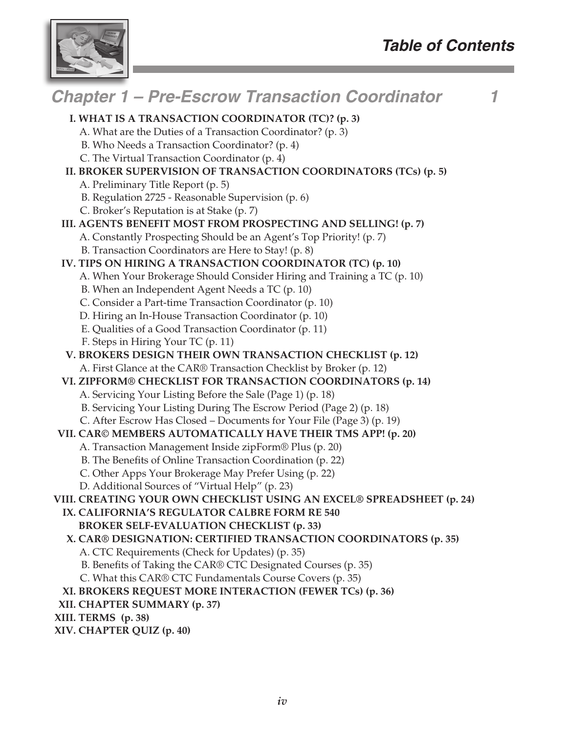

#### *Chapter 1 – Pre-Escrow Transaction Coordinator 1* **I. WHAT IS A TRANSACTION COORDINATOR (TC)? (p. 3)** A. What are the Duties of a Transaction Coordinator? (p. 3) B. Who Needs a Transaction Coordinator? (p. 4) C. The Virtual Transaction Coordinator (p. 4) **II. BROKER SUPERVISION OF TRANSACTION COORDINATORS (TCs) (p. 5)** A. Preliminary Title Report (p. 5) B. Regulation 2725 - Reasonable Supervision (p. 6) C. Broker's Reputation is at Stake (p. 7) **III. AGENTS BENEFIT MOST FROM PROSPECTING AND SELLING! (p. 7)** A. Constantly Prospecting Should be an Agent's Top Priority! (p. 7) B. Transaction Coordinators are Here to Stay! (p. 8) **IV. TIPS ON HIRING A TRANSACTION COORDINATOR (TC) (p. 10)** A. When Your Brokerage Should Consider Hiring and Training a TC (p. 10) B. When an Independent Agent Needs a TC (p. 10) C. Consider a Part-time Transaction Coordinator (p. 10) D. Hiring an In-House Transaction Coordinator (p. 10) E. Qualities of a Good Transaction Coordinator (p. 11) F. Steps in Hiring Your TC (p. 11) **V. BROKERS DESIGN THEIR OWN TRANSACTION CHECKLIST (p. 12)** A. First Glance at the CAR® Transaction Checklist by Broker (p. 12) **VI. ZIPFORM® CHECKLIST FOR TRANSACTION COORDINATORS (p. 14)** A. Servicing Your Listing Before the Sale (Page 1) (p. 18) B. Servicing Your Listing During The Escrow Period (Page 2) (p. 18) C. After Escrow Has Closed – Documents for Your File (Page 3) (p. 19) **VII. CAR© MEMBERS AUTOMATICALLY HAVE THEIR TMS APP! (p. 20)** A. Transaction Management Inside zipForm® Plus (p. 20) B. The Benefits of Online Transaction Coordination (p. 22) C. Other Apps Your Brokerage May Prefer Using (p. 22) D. Additional Sources of "Virtual Help" (p. 23) **VIII. CREATING YOUR OWN CHECKLIST USING AN EXCEL® SPREADSHEET (p. 24) IX. CALIFORNIA'S REGULATOR CALBRE FORM RE 540 BROKER SELF-EVALUATION CHECKLIST (p. 33) X. CAR® DESIGNATION: CERTIFIED TRANSACTION COORDINATORS (p. 35)** A. CTC Requirements (Check for Updates) (p. 35) B. Benefits of Taking the CAR® CTC Designated Courses (p. 35) C. What this CAR® CTC Fundamentals Course Covers (p. 35) **XI. BROKERS REQUEST MORE INTERACTION (FEWER TCs) (p. 36) XII. CHAPTER SUMMARY (p. 37) XIII. TERMS (p. 38) XIV. CHAPTER QUIZ (p. 40)**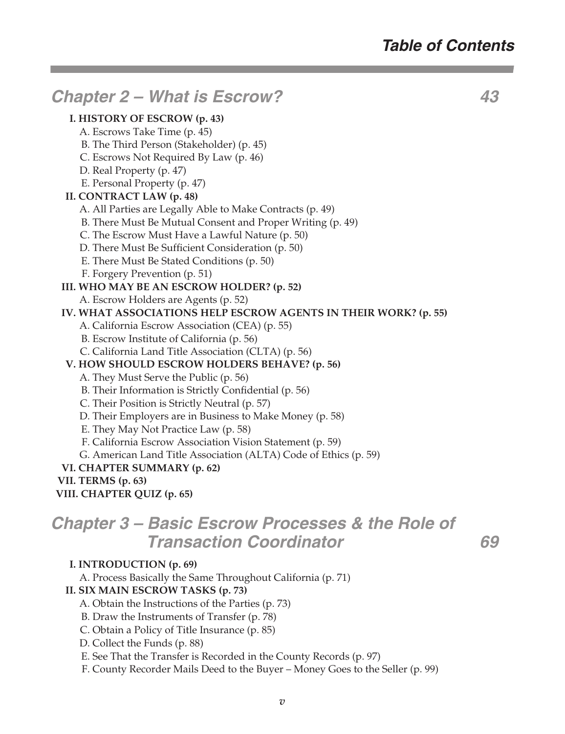# *Chapter 2 – What is Escrow? 43*

#### **I. HISTORY OF ESCROW (p. 43)**

- A. Escrows Take Time (p. 45)
- B. The Third Person (Stakeholder) (p. 45)
- C. Escrows Not Required By Law (p. 46)
- D. Real Property (p. 47)
- E. Personal Property (p. 47)

#### **II. CONTRACT LAW (p. 48)**

- A. All Parties are Legally Able to Make Contracts (p. 49)
- B. There Must Be Mutual Consent and Proper Writing (p. 49)
- C. The Escrow Must Have a Lawful Nature (p. 50)
- D. There Must Be Sufficient Consideration (p. 50)
- E. There Must Be Stated Conditions (p. 50)
- F. Forgery Prevention (p. 51)

#### **III. WHO MAY BE AN ESCROW HOLDER? (p. 52)**

A. Escrow Holders are Agents (p. 52)

#### **IV. WHAT ASSOCIATIONS HELP ESCROW AGENTS IN THEIR WORK? (p. 55)**

- A. California Escrow Association (CEA) (p. 55)
- B. Escrow Institute of California (p. 56)
- C. California Land Title Association (CLTA) (p. 56)

#### **V. HOW SHOULD ESCROW HOLDERS BEHAVE? (p. 56)**

- A. They Must Serve the Public (p. 56)
- B. Their Information is Strictly Confidential (p. 56)
- C. Their Position is Strictly Neutral (p. 57)
- D. Their Employers are in Business to Make Money (p. 58)
- E. They May Not Practice Law (p. 58)
- F. California Escrow Association Vision Statement (p. 59)
- G. American Land Title Association (ALTA) Code of Ethics (p. 59)

#### **VI. CHAPTER SUMMARY (p. 62)**

- **VII. TERMS (p. 63)**
- **VIII. CHAPTER QUIZ (p. 65)**

## *Chapter 3 – Basic Escrow Processes & the Role of Transaction Coordinator 69*

#### **I. INTRODUCTION (p. 69)**

A. Process Basically the Same Throughout California (p. 71)

#### **II. SIX MAIN ESCROW TASKS (p. 73)**

- A. Obtain the Instructions of the Parties (p. 73)
- B. Draw the Instruments of Transfer (p. 78)
- C. Obtain a Policy of Title Insurance (p. 85)
- D. Collect the Funds (p. 88)
- E. See That the Transfer is Recorded in the County Records (p. 97)
- F. County Recorder Mails Deed to the Buyer Money Goes to the Seller (p. 99)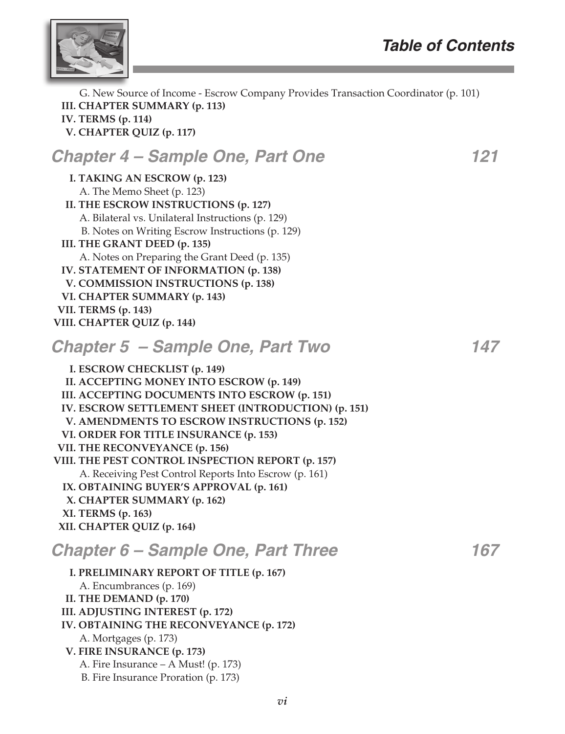

 G. New Source of Income - Escrow Company Provides Transaction Coordinator (p. 101) **III. CHAPTER SUMMARY (p. 113) IV. TERMS (p. 114) V. CHAPTER QUIZ (p. 117)**

# *Chapter 4 – Sample One, Part One 121*

**I. TAKING AN ESCROW (p. 123)** A. The Memo Sheet (p. 123) **II. THE ESCROW INSTRUCTIONS (p. 127)** A. Bilateral vs. Unilateral Instructions (p. 129) B. Notes on Writing Escrow Instructions (p. 129) **III. THE GRANT DEED (p. 135)** A. Notes on Preparing the Grant Deed (p. 135) **IV. STATEMENT OF INFORMATION (p. 138) V. COMMISSION INSTRUCTIONS (p. 138) VI. CHAPTER SUMMARY (p. 143) VII. TERMS (p. 143) VIII. CHAPTER QUIZ (p. 144)**

### *Chapter 5 – Sample One, Part Two 147*

**I. ESCROW CHECKLIST (p. 149) II. ACCEPTING MONEY INTO ESCROW (p. 149) III. ACCEPTING DOCUMENTS INTO ESCROW (p. 151) IV. ESCROW SETTLEMENT SHEET (INTRODUCTION) (p. 151) V. AMENDMENTS TO ESCROW INSTRUCTIONS (p. 152) VI. ORDER FOR TITLE INSURANCE (p. 153) VII. THE RECONVEYANCE (p. 156) VIII. THE PEST CONTROL INSPECTION REPORT (p. 157)** A. Receiving Pest Control Reports Into Escrow (p. 161) **IX. OBTAINING BUYER'S APPROVAL (p. 161) X. CHAPTER SUMMARY (p. 162) XI. TERMS (p. 163) XII. CHAPTER QUIZ (p. 164)** *Chapter 6 – Sample One, Part Three 167*

#### **I. PRELIMINARY REPORT OF TITLE (p. 167)** A. Encumbrances (p. 169) **II. THE DEMAND (p. 170) III. ADJUSTING INTEREST (p. 172) IV. OBTAINING THE RECONVEYANCE (p. 172)** A. Mortgages (p. 173) **V. FIRE INSURANCE (p. 173)** A. Fire Insurance – A Must! (p. 173) B. Fire Insurance Proration (p. 173)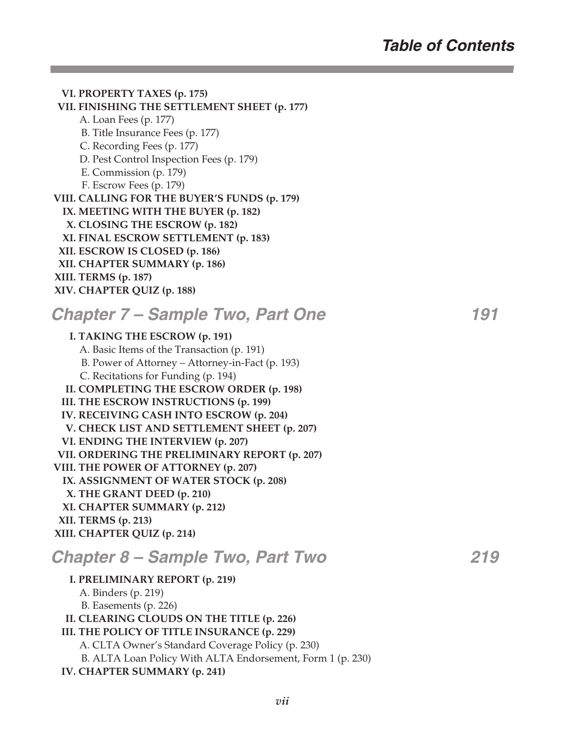**VI. PROPERTY TAXES (p. 175) VII. FINISHING THE SETTLEMENT SHEET (p. 177)** A. Loan Fees (p. 177) B. Title Insurance Fees (p. 177) C. Recording Fees (p. 177) D. Pest Control Inspection Fees (p. 179) E. Commission (p. 179) F. Escrow Fees (p. 179) **VIII. CALLING FOR THE BUYER'S FUNDS (p. 179) IX. MEETING WITH THE BUYER (p. 182) X. CLOSING THE ESCROW (p. 182) XI. FINAL ESCROW SETTLEMENT (p. 183) XII. ESCROW IS CLOSED (p. 186) XII. CHAPTER SUMMARY (p. 186) XIII. TERMS (p. 187) XIV. CHAPTER QUIZ (p. 188)**

# *Chapter 7 – Sample Two, Part One 191*

**I. TAKING THE ESCROW (p. 191)** A. Basic Items of the Transaction (p. 191) B. Power of Attorney – Attorney-in-Fact (p. 193) C. Recitations for Funding (p. 194) **II. COMPLETING THE ESCROW ORDER (p. 198) III. THE ESCROW INSTRUCTIONS (p. 199) IV. RECEIVING CASH INTO ESCROW (p. 204) V. CHECK LIST AND SETTLEMENT SHEET (p. 207) VI. ENDING THE INTERVIEW (p. 207) VII. ORDERING THE PRELIMINARY REPORT (p. 207) VIII. THE POWER OF ATTORNEY (p. 207) IX. ASSIGNMENT OF WATER STOCK (p. 208) X. THE GRANT DEED (p. 210) XI. CHAPTER SUMMARY (p. 212) XII. TERMS (p. 213) XIII. CHAPTER QUIZ (p. 214)**

# *Chapter 8 – Sample Two, Part Two 219*

**I. PRELIMINARY REPORT (p. 219)**

| I. PRELIMINARY REPORT (p. 219)                             |
|------------------------------------------------------------|
| A. Binders (p. 219)                                        |
| B. Easements (p. 226)                                      |
| II. CLEARING CLOUDS ON THE TITLE (p. 226)                  |
| III. THE POLICY OF TITLE INSURANCE (p. 229)                |
| A. CLTA Owner's Standard Coverage Policy (p. 230)          |
| B. ALTA Loan Policy With ALTA Endorsement, Form 1 (p. 230) |
| <b>IV. CHAPTER SUMMARY (p. 241)</b>                        |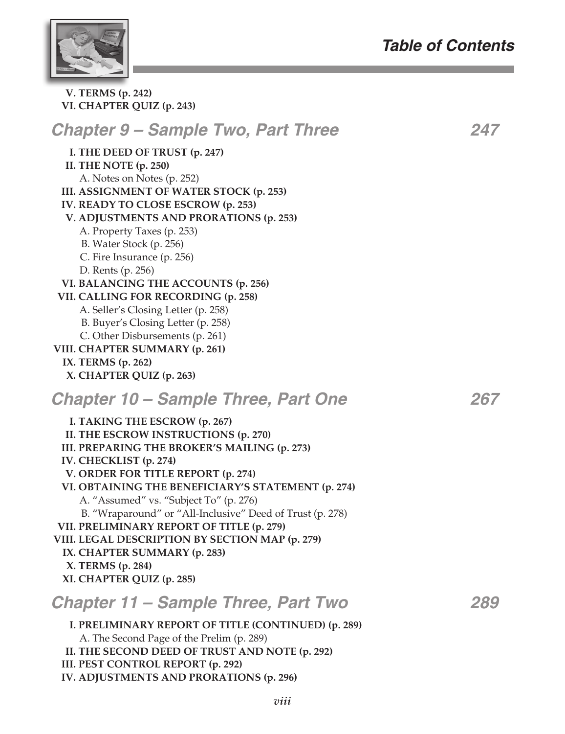# *Table of Contents*



**V. TERMS (p. 242) VI. CHAPTER QUIZ (p. 243)**

| <b>Chapter 9 – Sample Two, Part Three</b>                                                                                                                                                                                                                                                                                                                                                                                                                                                                                                                                                                     | 247 |
|---------------------------------------------------------------------------------------------------------------------------------------------------------------------------------------------------------------------------------------------------------------------------------------------------------------------------------------------------------------------------------------------------------------------------------------------------------------------------------------------------------------------------------------------------------------------------------------------------------------|-----|
| I. THE DEED OF TRUST (p. 247)<br>II. THE NOTE (p. 250)<br>A. Notes on Notes (p. 252)<br>III. ASSIGNMENT OF WATER STOCK (p. 253)<br>IV. READY TO CLOSE ESCROW (p. 253)<br>V. ADJUSTMENTS AND PRORATIONS (p. 253)<br>A. Property Taxes (p. 253)<br>B. Water Stock (p. 256)<br>C. Fire Insurance (p. 256)<br>D. Rents (p. 256)<br>VI. BALANCING THE ACCOUNTS (p. 256)<br>VII. CALLING FOR RECORDING (p. 258)<br>A. Seller's Closing Letter (p. 258)<br>B. Buyer's Closing Letter (p. 258)<br>C. Other Disbursements (p. 261)<br>VIII. CHAPTER SUMMARY (p. 261)<br>IX. TERMS (p. 262)<br>X. CHAPTER QUIZ (p. 263) |     |
| Chapter 10 – Sample Three, Part One                                                                                                                                                                                                                                                                                                                                                                                                                                                                                                                                                                           | 267 |
| I. TAKING THE ESCROW (p. 267)<br>II. THE ESCROW INSTRUCTIONS (p. 270)<br>III. PREPARING THE BROKER'S MAILING (p. 273)<br>IV. CHECKLIST (p. 274)<br>V. ORDER FOR TITLE REPORT (p. 274)<br>VI. OBTAINING THE BENEFICIARY'S STATEMENT (p. 274)<br>A. "Assumed" vs. "Subject To" (p. 276)<br>B. "Wraparound" or "All-Inclusive" Deed of Trust (p. 278)<br>VII. PRELIMINARY REPORT OF TITLE (p. 279)<br>VIII. LEGAL DESCRIPTION BY SECTION MAP (p. 279)<br>IX. CHAPTER SUMMARY (p. 283)<br>X. TERMS (p. 284)<br>XI. CHAPTER QUIZ (p. 285)                                                                          |     |
| <b>Chapter 11 – Sample Three, Part Two</b>                                                                                                                                                                                                                                                                                                                                                                                                                                                                                                                                                                    | 289 |
| I. PRELIMINARY REPORT OF TITLE (CONTINUED) (p. 289)<br>A. The Second Page of the Prelim (p. 289)<br>II. THE SECOND DEED OF TRUST AND NOTE (p. 292)<br>III. PEST CONTROL REPORT (p. 292)<br>IV. ADJUSTMENTS AND PRORATIONS (p. 296)                                                                                                                                                                                                                                                                                                                                                                            |     |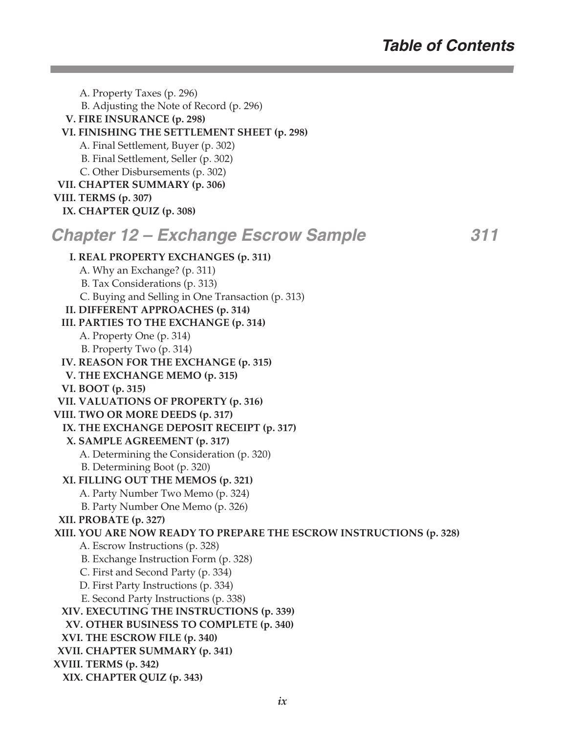A. Property Taxes (p. 296) B. Adjusting the Note of Record (p. 296) **V. FIRE INSURANCE (p. 298) VI. FINISHING THE SETTLEMENT SHEET (p. 298)** A. Final Settlement, Buyer (p. 302) B. Final Settlement, Seller (p. 302) C. Other Disbursements (p. 302) **VII. CHAPTER SUMMARY (p. 306) VIII. TERMS (p. 307) IX. CHAPTER QUIZ (p. 308)** *Chapter 12 – Exchange Escrow Sample 311* **I. REAL PROPERTY EXCHANGES (p. 311)** A. Why an Exchange? (p. 311) B. Tax Considerations (p. 313) C. Buying and Selling in One Transaction (p. 313) **II. DIFFERENT APPROACHES (p. 314) III. PARTIES TO THE EXCHANGE (p. 314)** A. Property One (p. 314) B. Property Two (p. 314) **IV. REASON FOR THE EXCHANGE (p. 315) V. THE EXCHANGE MEMO (p. 315) VI. BOOT (p. 315) VII. VALUATIONS OF PROPERTY (p. 316) VIII. TWO OR MORE DEEDS (p. 317) IX. THE EXCHANGE DEPOSIT RECEIPT (p. 317) X. SAMPLE AGREEMENT (p. 317)** A. Determining the Consideration (p. 320) B. Determining Boot (p. 320) **XI. FILLING OUT THE MEMOS (p. 321)** A. Party Number Two Memo (p. 324) B. Party Number One Memo (p. 326) **XII. PROBATE (p. 327) XIII. YOU ARE NOW READY TO PREPARE THE ESCROW INSTRUCTIONS (p. 328)** A. Escrow Instructions (p. 328) B. Exchange Instruction Form (p. 328) C. First and Second Party (p. 334) D. First Party Instructions (p. 334) E. Second Party Instructions (p. 338) **XIV. EXECUTING THE INSTRUCTIONS (p. 339) XV. OTHER BUSINESS TO COMPLETE (p. 340) XVI. THE ESCROW FILE (p. 340) XVII. CHAPTER SUMMARY (p. 341) XVIII. TERMS (p. 342) XIX. CHAPTER QUIZ (p. 343)**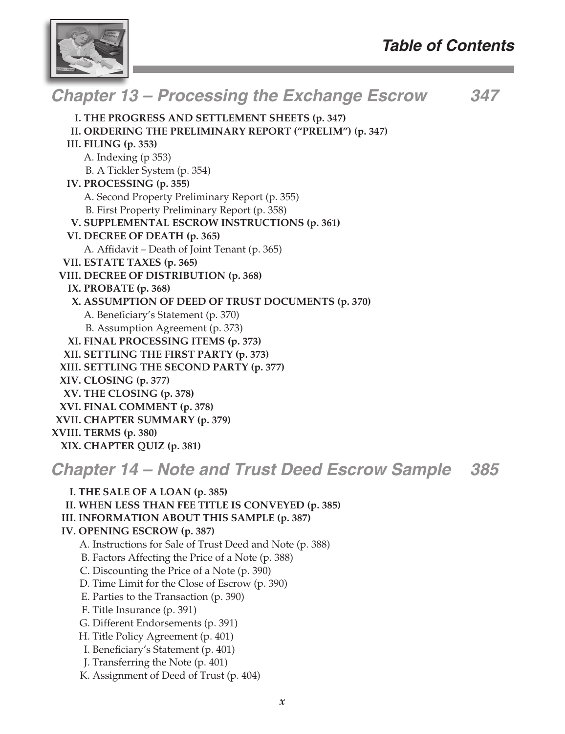

### *Chapter 13 – Processing the Exchange Escrow 347* **I. THE PROGRESS AND SETTLEMENT SHEETS (p. 347) II. ORDERING THE PRELIMINARY REPORT ("PRELIM") (p. 347) III. FILING (p. 353)**

- A. Indexing (p 353)
	- B. A Tickler System (p. 354)
- **IV. PROCESSING (p. 355)**
	- A. Second Property Preliminary Report (p. 355)
	- B. First Property Preliminary Report (p. 358)
- **V. SUPPLEMENTAL ESCROW INSTRUCTIONS (p. 361)**
- **VI. DECREE OF DEATH (p. 365)**
	- A. Affidavit Death of Joint Tenant (p. 365)
- **VII. ESTATE TAXES (p. 365)**
- **VIII. DECREE OF DISTRIBUTION (p. 368)**
- **IX. PROBATE (p. 368)**
- **X. ASSUMPTION OF DEED OF TRUST DOCUMENTS (p. 370)**
	- A. Beneficiary's Statement (p. 370)
	- B. Assumption Agreement (p. 373)
- **XI. FINAL PROCESSING ITEMS (p. 373) XII. SETTLING THE FIRST PARTY (p. 373) XIII. SETTLING THE SECOND PARTY (p. 377) XIV. CLOSING (p. 377) XV. THE CLOSING (p. 378) XVI. FINAL COMMENT (p. 378) XVII. CHAPTER SUMMARY (p. 379)**

### **XVIII. TERMS (p. 380)**

**XIX. CHAPTER QUIZ (p. 381)**

# *Chapter 14 – Note and Trust Deed Escrow Sample 385*

**I. THE SALE OF A LOAN (p. 385) II. WHEN LESS THAN FEE TITLE IS CONVEYED (p. 385) III. INFORMATION ABOUT THIS SAMPLE (p. 387) IV. OPENING ESCROW (p. 387)** A. Instructions for Sale of Trust Deed and Note (p. 388) B. Factors Affecting the Price of a Note (p. 388) C. Discounting the Price of a Note (p. 390) D. Time Limit for the Close of Escrow (p. 390) E. Parties to the Transaction (p. 390) F. Title Insurance (p. 391) G. Different Endorsements (p. 391) H. Title Policy Agreement (p. 401) I. Beneficiary's Statement (p. 401) J. Transferring the Note (p. 401) K. Assignment of Deed of Trust (p. 404)